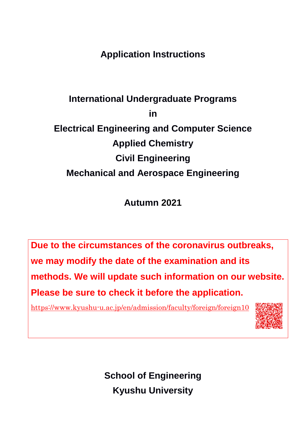**Application Instructions**

# **International Undergraduate Programs in Electrical Engineering and Computer Science Applied Chemistry Civil Engineering Mechanical and Aerospace Engineering**

**Autumn 2021**

**Due to the circumstances of the coronavirus outbreaks, we may modify the date of the examination and its methods. We will update such information on our website. Please be sure to check it before the application.**

<https://www.kyushu-u.ac.jp/en/admission/faculty/foreign/foreign10>



**School of Engineering Kyushu University**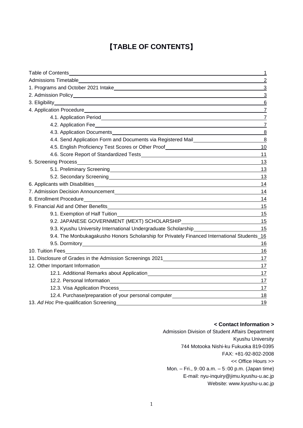# 【**TABLE OF CONTENTS**】

|                                                                                                                                                                                                                                | $\mathbf 1$     |
|--------------------------------------------------------------------------------------------------------------------------------------------------------------------------------------------------------------------------------|-----------------|
| Admissions Timetable and the state of the state of the state of the state of the state of the state of the state of the state of the state of the state of the state of the state of the state of the state of the state of th | $\overline{2}$  |
|                                                                                                                                                                                                                                | 3               |
|                                                                                                                                                                                                                                | 3               |
|                                                                                                                                                                                                                                | $6\phantom{1}6$ |
|                                                                                                                                                                                                                                | $\overline{7}$  |
|                                                                                                                                                                                                                                | $\overline{7}$  |
|                                                                                                                                                                                                                                | $\overline{7}$  |
|                                                                                                                                                                                                                                | 8               |
| 4.4. Send Application Form and Documents via Registered Mail<br>1998 - The Mail Long Mail Long Mail Long Mail Long Mail Long Mail Long Mail Long Mail Long Mail Long Mail Long                                                 | 8               |
| 4.5. English Proficiency Test Scores or Other Proof_____________________________                                                                                                                                               | 10              |
|                                                                                                                                                                                                                                | 11              |
|                                                                                                                                                                                                                                | 13              |
|                                                                                                                                                                                                                                | 13              |
|                                                                                                                                                                                                                                | 13              |
|                                                                                                                                                                                                                                | 14              |
|                                                                                                                                                                                                                                | 14              |
| 8. Enrollment Procedure                                                                                                                                                                                                        | 14              |
|                                                                                                                                                                                                                                | 15              |
|                                                                                                                                                                                                                                | 15              |
|                                                                                                                                                                                                                                | 15              |
| 9.3. Kyushu University International Undergraduate Scholarship__________________                                                                                                                                               | 15              |
| 9.4. The Monbukagakusho Honors Scholarship for Privately Financed International Students_16                                                                                                                                    |                 |
|                                                                                                                                                                                                                                | 16              |
|                                                                                                                                                                                                                                | 16              |
| 11. Disclosure of Grades in the Admission Screenings 2021________________________                                                                                                                                              | 17              |
|                                                                                                                                                                                                                                | 17              |
|                                                                                                                                                                                                                                | 17              |
| 12.2. Personal Information<br><u> 1989 - Johann Stoff, deutscher Stoff, der Stoff, der Stoff, der Stoff, der Stoff, der Stoff, der Stoff, der S</u>                                                                            | 17              |
|                                                                                                                                                                                                                                | 17              |
| 12.4. Purchase/preparation of your personal computer____________________________                                                                                                                                               | 18              |
| 13. Ad Hoc Pre-qualification Screening                                                                                                                                                                                         | 19              |

#### **< Contact Information >**

Admission Division of Student Affairs Department Kyushu University 744 Motooka Nishi-ku Fukuoka 819-0395 FAX: +81-92-802-2008 << Office Hours >> Mon. – Fri., 9:00 a.m. – 5:00 p.m. (Japan time) E-mail: nyu-inquiry@jimu.kyushu-u.ac.jp Website: www.kyushu-u.ac.jp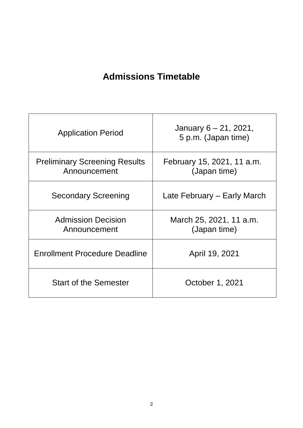# **Admissions Timetable**

| <b>Application Period</b>                            | January $6 - 21$ , 2021,<br>5 p.m. (Japan time) |
|------------------------------------------------------|-------------------------------------------------|
| <b>Preliminary Screening Results</b><br>Announcement | February 15, 2021, 11 a.m.<br>(Japan time)      |
| <b>Secondary Screening</b>                           | Late February – Early March                     |
| <b>Admission Decision</b><br>Announcement            | March 25, 2021, 11 a.m.<br>(Japan time)         |
| Enrollment Procedure Deadline                        | April 19, 2021                                  |
| <b>Start of the Semester</b>                         | October 1, 2021                                 |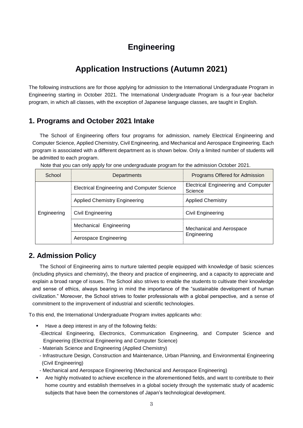# **Engineering**

# **Application Instructions (Autumn 2021)**

The following instructions are for those applying for admission to the International Undergraduate Program in Engineering starting in October 2021. The International Undergraduate Program is a four-year bachelor program, in which all classes, with the exception of Japanese language classes, are taught in English.

# **1. Programs and October 2021 Intake**

The School of Engineering offers four programs for admission, namely Electrical Engineering and Computer Science, Applied Chemistry, Civil Engineering, and Mechanical and Aerospace Engineering. Each program is associated with a different department as is shown below. Only a limited number of students will be admitted to each program.

| School      | Departments                                 | Programs Offered for Admission                 |  |
|-------------|---------------------------------------------|------------------------------------------------|--|
|             | Electrical Engineering and Computer Science | Electrical Engineering and Computer<br>Science |  |
|             | <b>Applied Chemistry Engineering</b>        | <b>Applied Chemistry</b>                       |  |
| Engineering | Civil Engineering                           | Civil Engineering                              |  |
|             | Mechanical Engineering                      | Mechanical and Aerospace                       |  |
|             | Aerospace Engineering                       | Engineering                                    |  |

Note that you can only apply for one undergraduate program for the admission October 2021.

# **2. Admission Policy**

The School of Engineering aims to nurture talented people equipped with knowledge of basic sciences (including physics and chemistry), the theory and practice of engineering, and a capacity to appreciate and explain a broad range of issues. The School also strives to enable the students to cultivate their knowledge and sense of ethics, always bearing in mind the importance of the "sustainable development of human civilization." Moreover, the School strives to foster professionals with a global perspective, and a sense of commitment to the improvement of industrial and scientific technologies.

To this end, the International Undergraduate Program invites applicants who:

- Have a deep interest in any of the following fields:
- -Electrical Engineering, Electronics, Communication Engineering, and Computer Science and Engineering (Electrical Engineering and Computer Science)
- Materials Science and Engineering (Applied Chemistry)
- Infrastructure Design, Construction and Maintenance, Urban Planning, and Environmental Engineering (Civil Engineering)
- Mechanical and Aerospace Engineering (Mechanical and Aerospace Engineering)
- Are highly motivated to achieve excellence in the aforementioned fields, and want to contribute to their home country and establish themselves in a global society through the systematic study of academic subjects that have been the cornerstones of Japan's technological development.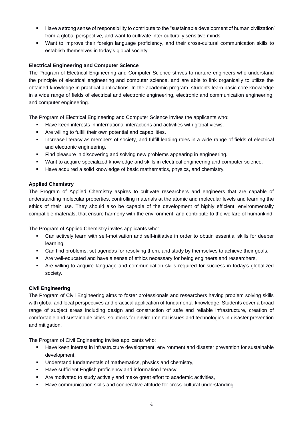- Have a strong sense of responsibility to contribute to the "sustainable development of human civilization" from a global perspective, and want to cultivate inter-culturally sensitive minds.
- Want to improve their foreign language proficiency, and their cross-cultural communication skills to establish themselves in today's global society.

#### **Electrical Engineering and Computer Science**

The Program of Electrical Engineering and Computer Science strives to nurture engineers who understand the principle of electrical engineering and computer science, and are able to link organically to utilize the obtained knowledge in practical applications. In the academic program, students learn basic core knowledge in a wide range of fields of electrical and electronic engineering, electronic and communication engineering, and computer engineering.

The Program of Electrical Engineering and Computer Science invites the applicants who:

- **Have keen interests in international interactions and activities with global views.**
- Are willing to fulfill their own potential and capabilities.
- **Increase literacy as members of society, and fulfill leading roles in a wide range of fields of electrical** and electronic engineering.
- Find pleasure in discovering and solving new problems appearing in engineering.
- Want to acquire specialized knowledge and skills in electrical engineering and computer science.
- Have acquired a solid knowledge of basic mathematics, physics, and chemistry.

#### **Applied Chemistry**

The Program of Applied Chemistry aspires to cultivate researchers and engineers that are capable of understanding molecular properties, controlling materials at the atomic and molecular levels and learning the ethics of their use. They should also be capable of the development of highly efficient, environmentally compatible materials, that ensure harmony with the environment, and contribute to the welfare of humankind.

The Program of Applied Chemistry invites applicants who:

- Can actively learn with self-motivation and self-initiative in order to obtain essential skills for deeper learning,
- Can find problems, set agendas for resolving them, and study by themselves to achieve their goals,
- **Are well-educated and have a sense of ethics necessary for being engineers and researchers,**
- Are willing to acquire language and communication skills required for success in today's globalized society.

#### **Civil Engineering**

The Program of Civil Engineering aims to foster professionals and researchers having problem solving skills with global and local perspectives and practical application of fundamental knowledge. Students cover a broad range of subject areas including design and construction of safe and reliable infrastructure, creation of comfortable and sustainable cities, solutions for environmental issues and technologies in disaster prevention and mitigation.

The Program of Civil Engineering invites applicants who:

- Have keen interest in infrastructure development, environment and disaster prevention for sustainable development,
- **Understand fundamentals of mathematics, physics and chemistry,**
- **Have sufficient English proficiency and information literacy,**
- Are motivated to study actively and make great effort to academic activities,
- Have communication skills and cooperative attitude for cross-cultural understanding.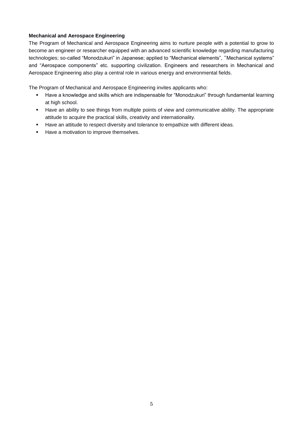#### **Mechanical and Aerospace Engineering**

The Program of Mechanical and Aerospace Engineering aims to nurture people with a potential to grow to become an engineer or researcher equipped with an advanced scientific knowledge regarding manufacturing technologies; so-called "Monodzukuri" in Japanese; applied to "Mechanical elements", "Mechanical systems" and "Aerospace components" etc. supporting civilization. Engineers and researchers in Mechanical and Aerospace Engineering also play a central role in various energy and environmental fields.

The Program of Mechanical and Aerospace Engineering invites applicants who:

- Have a knowledge and skills which are indispensable for "Monodzukuri" through fundamental learning at high school.
- Have an ability to see things from multiple points of view and communicative ability. The appropriate attitude to acquire the practical skills, creativity and internationality.
- **Have an attitude to respect diversity and tolerance to empathize with different ideas.**
- Have a motivation to improve themselves.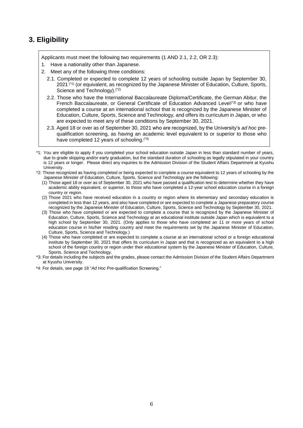## **3. Eligibility**

Applicants must meet the following two requirements (1 AND 2.1, 2.2, OR 2.3):

- 1. Have a nationality other than Japanese.
- 2. Meet any of the following three conditions:
	- 2.1. Completed or expected to complete 12 years of schooling outside Japan by September 30, 2021<sup>(\*1)</sup> (or equivalent, as recognized by the Japanese Minister of Education, Culture, Sports, Science and Technology).(\*2)
	- 2.2. Those who have the International Baccalaureate Diploma/Certificate, the German Abitur, the French Baccalaureate, or General Certificate of Education Advanced Level<sup>(\*3)</sup> or who have completed a course at an international school that is recognized by the Japanese Minister of Education, Culture, Sports, Science and Technology, and offers its curriculum in Japan, or who are expected to meet any of these conditions by September 30, 2021.
	- 2.3. Aged 18 or over as of September 30, 2021 who are recognized, by the University's *ad hoc* prequalification screening, as having an academic level equivalent to or superior to those who have completed 12 years of schooling.(\*4)
- \*1: You are eligible to apply if you completed your school education outside Japan in less than standard number of years, due to grade skipping and/or early graduation, but the standard duration of schooling as legally stipulated in your country is 12 years or longer. Please direct any inquiries to the Admission Division of the Student Affairs Department at Kyushu University.
- \*2: Those recognized as having completed or being expected to complete a course equivalent to 12 years of schooling by the Japanese Minister of Education, Culture, Sports, Science and Technology are the following:
	- (1) Those aged 18 or over as of September 30, 2021 who have passed a qualification test to determine whether they have academic ability equivalent, or superior, to those who have completed a 12-year school education course in a foreign country or region.
	- (2) Those 2021 who have received education in a country or region where its elementary and secondary education is completed in less than 12 years, and also have completed or are expected to complete a Japanese preparatory course recognized by the Japanese Minister of Education, Culture, Sports, Science and Technology by September 30, 2021.
	- (3) Those who have completed or are expected to complete a course that is recognized by the Japanese Minister of Education, Culture, Sports, Science and Technology at an educational institute outside Japan which is equivalent to a high school by September 30, 2021. (Only applies to those who have completed an 11 or more years of school education course in his/her residing country and meet the requirements set by the Japanese Minister of Education, Culture, Sports, Science and Technology.)
	- (4) Those who have completed or are expected to complete a course at an international school or a foreign educational institute by September 30, 2021 that offers its curriculum in Japan and that is recognized as an equivalent to a high school of the foreign country or region under their educational system by the Japanese Minister of Education, Culture, Sports, Science and Technology.
- \*3: For details including the subjects and the grades, please contact the Admission Division of the Student Affairs Department at Kyushu University.
- \*4: For details, see page 18 "*Ad Hoc* Pre-qualification Screening."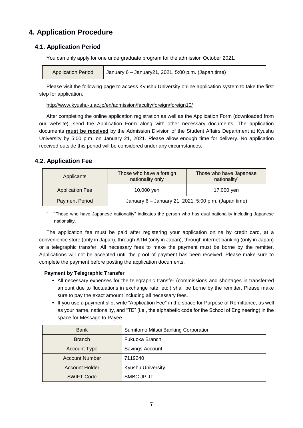# **4. Application Procedure**

## **4.1. Application Period**

You can only apply for one undergraduate program for the admission October 2021.

Please visit the following page to access Kyushu University online application system to take the first step for application.

http://www.kyushu-u.ac.jp/en/admission/faculty/foreign/foreign10/

After completing the online application registration as well as the Application Form (downloaded from our website), send the Application Form along with other necessary documents. The application documents **must be received** by the Admission Division of the Student Affairs Department at Kyushu University by 5:00 p.m. on January 21, 2021. Please allow enough time for delivery. No application received outside this period will be considered under any circumstances.

## **4.2. Application Fee**

| Applicants             | Those who have a foreign<br>nationality only         | Those who have Japanese<br>nationality* |
|------------------------|------------------------------------------------------|-----------------------------------------|
| <b>Application Fee</b> | 10,000 yen                                           | 17,000 ven                              |
| <b>Payment Period</b>  | January 6 - January 21, 2021, 5:00 p.m. (Japan time) |                                         |

\* "Those who have Japanese nationality" indicates the person who has dual nationality including Japanese nationality.

The application fee must be paid after registering your application online by credit card, at a convenience store (only in Japan), through ATM (only in Japan), through internet banking (only in Japan) or a telegraphic transfer. All necessary fees to make the payment must be borne by the remitter. Applications will not be accepted until the proof of payment has been received. Please make sure to complete the payment before posting the application documents.

## **Payment by Telegraphic Transfer**

- All necessary expenses for the telegraphic transfer (commissions and shortages in transferred amount due to fluctuations in exchange rate, etc.) shall be borne by the remitter. Please make sure to pay the exact amount including all necessary fees.
- If you use a payment slip, write "Application Fee" in the space for Purpose of Remittance, as well as your name, nationality, and "TE" (i.e., the alphabetic code for the School of Engineering) in the space for Message to Payee.

| <b>Bank</b>           | Sumitomo Mitsui Banking Corporation |
|-----------------------|-------------------------------------|
| <b>Branch</b>         | Fukuoka Branch                      |
| <b>Account Type</b>   | Savings Account                     |
| <b>Account Number</b> | 7119240                             |
| <b>Account Holder</b> | <b>Kyushu University</b>            |
| <b>SWIFT Code</b>     | SMBC JP JT                          |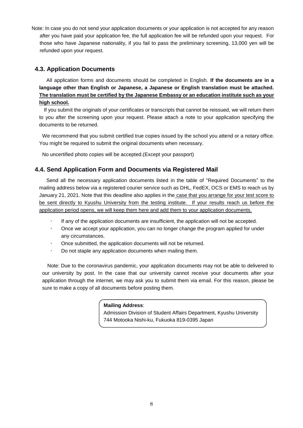Note: In case you do not send your application documents or your application is not accepted for any reason after you have paid your application fee, the full application fee will be refunded upon your request. For those who have Japanese nationality, if you fail to pass the preliminary screening, 13,000 yen will be refunded upon your request.

## **4.3. Application Documents**

All application forms and documents should be completed in English. **If the documents are in a language other than English or Japanese, a Japanese or English translation must be attached. The translation must be certified by the Japanese Embassy or an education institute such as your high school.**

 If you submit the originals of your certificates or transcripts that cannot be reissued, we will return them to you after the screening upon your request. Please attach a note to your application specifying the documents to be returned.

We recommend that you submit certified true copies issued by the school you attend or a notary office. You might be required to submit the original documents when necessary.

No uncertified photo copies will be accepted.(Except your passport)

## **4.4. Send Application Form and Documents via Registered Mail**

Send all the necessary application documents listed in the table of "Required Documents" to the mailing address below via a registered courier service such as DHL, FedEX, OCS or EMS to reach us by January 21, 2021. Note that this deadline also applies in the case that you arrange for your test score to be sent directly to Kyushu University from the testing institute. If your results reach us before the application period opens, we will keep them here and add them to your application documents.

- If any of the application documents are insufficient, the application will not be accepted.
- Once we accept your application, you can no longer change the program applied for under any circumstances.
- Once submitted, the application documents will not be returned.
- Do not staple any application documents when mailing them.

Note: Due to the coronavirus pandemic, your application documents may not be able to delivered to our university by post. In the case that our university cannot receive your documents after your application through the internet, we may ask you to submit them via email. For this reason, please be sure to make a copy of all documents before posting them.

#### **Mailing Address**:

Admission Division of Student Affairs Department, Kyushu University 744 Motooka Nishi-ku, Fukuoka 819-0395 Japan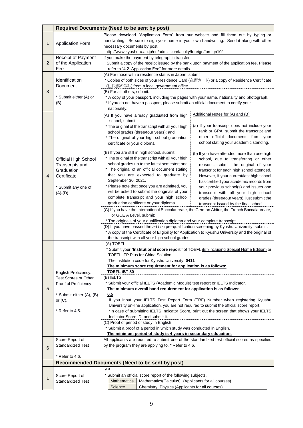|                                                                                                     | <b>Required Documents (Need to be sent by post)</b>                                                 |                                                                                                                                                                                   |  |  |
|-----------------------------------------------------------------------------------------------------|-----------------------------------------------------------------------------------------------------|-----------------------------------------------------------------------------------------------------------------------------------------------------------------------------------|--|--|
|                                                                                                     |                                                                                                     | Please download "Application Form" from our website and fill them out by typing or                                                                                                |  |  |
| 1                                                                                                   | <b>Application Form</b>                                                                             | handwriting. Be sure to sign your name in your own handwriting. Send it along with other                                                                                          |  |  |
|                                                                                                     |                                                                                                     | necessary documents by post.                                                                                                                                                      |  |  |
|                                                                                                     |                                                                                                     | http://www.kyushu-u.ac.jp/en/admission/faculty/foreign/foreign10/                                                                                                                 |  |  |
| $\overline{c}$                                                                                      | Receipt of Payment<br>of the Application                                                            | If you make the payment by telegraphic transfer;                                                                                                                                  |  |  |
|                                                                                                     | Fee                                                                                                 | Submit a copy of the receipt issued by the bank upon payment of the application fee. Please<br>refer to "4.2. Application Fee" for more details.                                  |  |  |
|                                                                                                     |                                                                                                     | (A) For those with a residence status in Japan, submit:                                                                                                                           |  |  |
|                                                                                                     | Identification                                                                                      | * Copies of both sides of your Residence Card (在留力一ド) or a copy of Residence Certificate                                                                                          |  |  |
|                                                                                                     | Document                                                                                            | (住民票の写し) from a local government office.                                                                                                                                          |  |  |
| 3                                                                                                   |                                                                                                     | (B) For all others, submit:                                                                                                                                                       |  |  |
|                                                                                                     | * Submit either (A) or<br>(B).                                                                      | * A copy of your passport, including the pages with your name, nationality and photograph.<br>* If you do not have a passport, please submit an official document to certify your |  |  |
|                                                                                                     |                                                                                                     | nationality.                                                                                                                                                                      |  |  |
|                                                                                                     |                                                                                                     | Additional Notes for (A) and (B)<br>(A) If you have already graduated from high                                                                                                   |  |  |
|                                                                                                     |                                                                                                     | school, submit:                                                                                                                                                                   |  |  |
|                                                                                                     |                                                                                                     | (a) If your transcript does not include your<br>* The original of the transcript with all your high                                                                               |  |  |
|                                                                                                     |                                                                                                     | rank or GPA, submit the transcript and<br>school grades (three/four years); and<br>other official documents from your                                                             |  |  |
|                                                                                                     |                                                                                                     | * The original of your high school graduation<br>school stating your academic standing.<br>certificate or your diploma.                                                           |  |  |
|                                                                                                     |                                                                                                     |                                                                                                                                                                                   |  |  |
|                                                                                                     |                                                                                                     | (B) If you are still in high school, submit:<br>(b) If you have attended more than one high                                                                                       |  |  |
|                                                                                                     | Official High School                                                                                | * The original of the transcript with all your high<br>school, due to transferring or other<br>school grades up to the latest semester; and                                       |  |  |
|                                                                                                     | Transcripts and<br>Graduation                                                                       | reasons, submit the original of your<br>* The original of an official document stating<br>transcript for each high school attended.                                               |  |  |
| 4                                                                                                   | Certificate                                                                                         | that you are expected to graduate by<br>However, if your current/last high school                                                                                                 |  |  |
|                                                                                                     |                                                                                                     | September 30, 2021.<br>has certified your academic records from                                                                                                                   |  |  |
|                                                                                                     | * Submit any one of                                                                                 | * Please note that once you are admitted, you<br>your previous school(s) and issues one                                                                                           |  |  |
|                                                                                                     | $(A)-(D)$ .                                                                                         | will be asked to submit the originals of your<br>transcript with all your high school                                                                                             |  |  |
|                                                                                                     |                                                                                                     | complete transcript and your high school<br>grades (three/four years), just submit the<br>graduation certificate or your diploma.                                                 |  |  |
|                                                                                                     |                                                                                                     | transcript issued by the final school.<br>(C) If you have the International Baccalaureate, the German Abitur, the French Baccalaureate,                                           |  |  |
|                                                                                                     |                                                                                                     | or GCE A Level, submit:                                                                                                                                                           |  |  |
|                                                                                                     |                                                                                                     | * The originals of your qualification diploma and your complete transcript.                                                                                                       |  |  |
|                                                                                                     |                                                                                                     | (D) If you have passed the ad hoc pre-qualification screening by Kyushu University, submit:                                                                                       |  |  |
|                                                                                                     | * A copy of the Certificate of Eligibility for Application to Kyushu University and the original of |                                                                                                                                                                                   |  |  |
|                                                                                                     |                                                                                                     | the transcript with all your high school grades.<br>(A) TOEFL.                                                                                                                    |  |  |
|                                                                                                     |                                                                                                     | * Submit your "Institutional score report" of TOEFL iBT(including Special Home Edition) or                                                                                        |  |  |
|                                                                                                     |                                                                                                     | TOEFL ITP Plus for China Solution.                                                                                                                                                |  |  |
|                                                                                                     |                                                                                                     | The institution code for Kyushu University: 0411                                                                                                                                  |  |  |
|                                                                                                     |                                                                                                     | The minimum score requirement for application is as follows:                                                                                                                      |  |  |
|                                                                                                     | English Proficiency:<br><b>Test Scores or Other</b>                                                 | <b>TOEFL IBT 80</b><br>(B) IELTS                                                                                                                                                  |  |  |
|                                                                                                     | Proof of Proficiency                                                                                | * Submit your official IELTS (Academic Module) test report or IELTS Indicator.<br>The minimum overall band requirement for application is as follows:                             |  |  |
| 5                                                                                                   |                                                                                                     |                                                                                                                                                                                   |  |  |
|                                                                                                     | 6.5<br>* Submit either (A), (B)                                                                     |                                                                                                                                                                                   |  |  |
|                                                                                                     | or $(C)$ .                                                                                          | If you input your IELTS Test Report Form (TRF) Number when registering Kyushu<br>University on-line application, you are not required to submit the official score report.        |  |  |
|                                                                                                     | * Refer to 4.5.                                                                                     | *In case of submitting IELTS Indicator Score, print out the screen that shows your IELTS                                                                                          |  |  |
| Indicator Score ID, and submit it.<br>(C) Proof of period of study in English                       |                                                                                                     |                                                                                                                                                                                   |  |  |
|                                                                                                     |                                                                                                     |                                                                                                                                                                                   |  |  |
|                                                                                                     |                                                                                                     | * Submit a proof of a period in which study was conducted in English.                                                                                                             |  |  |
|                                                                                                     |                                                                                                     | The minimum period of study is 4 years in secondary education.                                                                                                                    |  |  |
| Score Report of<br>by the program they are applying to. * Refer to 4.6.<br><b>Standardized Test</b> |                                                                                                     | All applicants are required to submit one of the standardized test official scores as specified                                                                                   |  |  |
| 6                                                                                                   |                                                                                                     |                                                                                                                                                                                   |  |  |
|                                                                                                     | * Refer to 4.6.                                                                                     |                                                                                                                                                                                   |  |  |
|                                                                                                     |                                                                                                     | Recommended Documents (Need to be sent by post)                                                                                                                                   |  |  |
|                                                                                                     |                                                                                                     | AP                                                                                                                                                                                |  |  |
| 1                                                                                                   | Score Report of                                                                                     | * Submit an official score report of the following subjects.                                                                                                                      |  |  |
|                                                                                                     | <b>Standardized Test</b>                                                                            | <b>Mathematics</b><br>Mathematics(Calculus) (Applicants for all courses)<br>Science<br>Chemistry, Physics (Applicants for all courses)                                            |  |  |
|                                                                                                     |                                                                                                     |                                                                                                                                                                                   |  |  |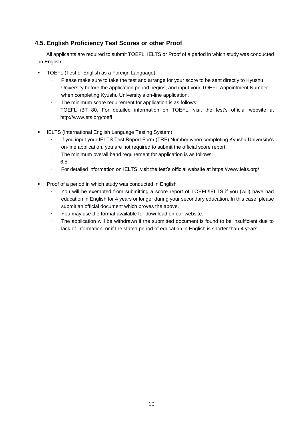## **4.5. English Proficiency Test Scores or other Proof**

All applicants are required to submit TOEFL, IELTS or Proof of a period in which study was conducted in English.

- TOEFL (Test of English as a Foreign Language)
	- Please make sure to take the test and arrange for your score to be sent directly to Kyushu University before the application period begins, and input your TOEFL Appointment Number when completing Kyushu University's on-line application.
	- The minimum score requirement for application is as follows: TOEFL iBT 80. For detailed information on TOEFL, visit the test's official website at <http://www.ets.org/toefl>
- **IELTS (International English Language Testing System)** 
	- If you input your IELTS Test Report Form (TRF) Number when completing Kyushu University's on-line application, you are not required to submit the official score report.
	- The minimum overall band requirement for application is as follows: 6.5
	- For detailed information on IELTS, visit the test's official website at <https://www.ielts.org/>
- Proof of a period in which study was conducted in English
	- You will be exempted from submitting a score report of TOEFL/IELTS if you (will) have had education in English for 4 years or longer during your secondary education. In this case, please submit an official document which proves the above.
	- You may use the format available for download on our website.
	- The application will be withdrawn if the submitted document is found to be insufficient due to lack of information, or if the stated period of education in English is shorter than 4 years.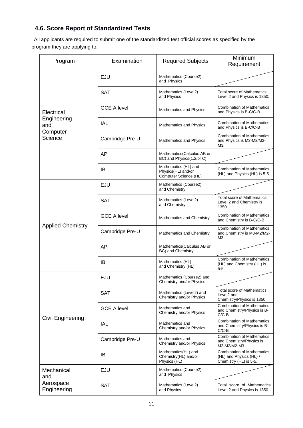# **4.6. Score Report of Standardized Tests**

All applicants are required to submit one of the standardized test official scores as specified by the program they are applying to.

| Program                        | Examination        | <b>Required Subjects</b>                                            | Minimum<br>Requirement                                                                   |
|--------------------------------|--------------------|---------------------------------------------------------------------|------------------------------------------------------------------------------------------|
|                                | <b>EJU</b>         | Mathematics (Course2)<br>and Physics                                |                                                                                          |
|                                | <b>SAT</b>         | Mathematics (Level2)<br>and Physics                                 | <b>Total score of Mathematics</b><br>Level 2 and Physics is 1350.                        |
| Electrical                     | <b>GCE A level</b> | Mathematics and Physics                                             | <b>Combination of Mathematics</b><br>and Physics is B-C/C-B                              |
| Engineering<br>and<br>Computer | <b>IAL</b>         | Mathematics and Physics                                             | <b>Combination of Mathematics</b><br>and Physics is B-C/C-B                              |
| Science                        | Cambridge Pre-U    | Mathematics and Physics                                             | <b>Combination of Mathematics</b><br>and Physics is M3-M2/M2-<br>M3.                     |
|                                | AP                 | Mathematics(Calculus AB or<br>BC) and Physics(1,2,or C)             |                                                                                          |
|                                | IB                 | Mathematics (HL) and<br>Physics(HL) and/or<br>Computer Science (HL) | <b>Combination of Mathematics</b><br>(HL) and Physics (HL) is 5-5.                       |
|                                | EJU                | Mathematics (Course2)<br>and Chemistry                              |                                                                                          |
|                                | <b>SAT</b>         | Mathematics (Level2)<br>and Chemistry                               | <b>Total score of Mathematics</b><br>Level 2 and Chemistry is<br>1350.                   |
|                                | <b>GCE A level</b> | Mathematics and Chemistry                                           | <b>Combination of Mathematics</b><br>and Chemistry is B-C/C-B                            |
| <b>Applied Chemistry</b>       | Cambridge Pre-U    | Mathematics and Chemistry                                           | <b>Combination of Mathematics</b><br>and Chemistry is M3-M2/M2-<br>M3.                   |
|                                | AP                 | Mathematics(Calculus AB or<br>BC) and Chemistry                     |                                                                                          |
|                                | IB                 | Mathematics (HL)<br>and Chemistry (HL)                              | <b>Combination of Mathematics</b><br>(HL) and Chemistry (HL) is<br>$5-5.$                |
|                                | EJU                | Mathematics (Course2) and<br>Chemistry and/or Physics               |                                                                                          |
|                                | <b>SAT</b>         | Mathematics (Level2) and<br>Chemistry and/or Physics                | <b>Total score of Mathematics</b><br>Level <sub>2</sub> and<br>Chemistry/Physics is 1350 |
|                                | <b>GCE A level</b> | Mathematics and<br>Chemistry and/or Physics                         | <b>Combination of Mathematics</b><br>and Chemistry/Physics is B-<br>$C/C-B$              |
| Civil Engineering              | <b>IAL</b>         | Mathematics and<br>Chemistry and/or Physics                         | <b>Combination of Mathematics</b><br>and Chemistry/Physics is B-<br>C/C-B                |
|                                | Cambridge Pre-U    | Mathematics and<br>Chemistry and/or Physics                         | <b>Combination of Mathematics</b><br>and Chemistry/Physics is<br>M3-M2/M2-M3.            |
|                                | IB                 | Mathematics(HL) and<br>Chemistry(HL) and/or<br>Physics (HL)         | <b>Combination of Mathematics</b><br>(HL) and Physics (HL) /<br>Chemistry (HL) is 5-5.   |
| Mechanical<br>and              | EJU                | Mathematics (Course2)<br>and Physics                                |                                                                                          |
| Aerospace<br>Engineering       | <b>SAT</b>         | Mathematics (Level2)<br>and Physics                                 | Total score of Mathematics<br>Level 2 and Physics is 1350.                               |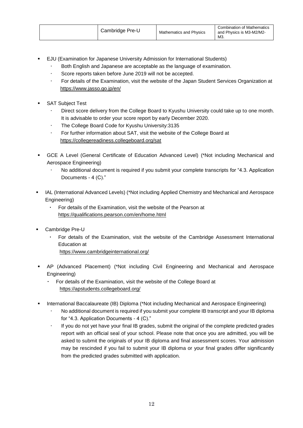- EJU (Examination for Japanese University Admission for International Students)
	- Both English and Japanese are acceptable as the language of examination.
	- Score reports taken before June 2019 will not be accepted.
	- For details of the Examination, visit the website of the Japan Student Services Organization at <https://www.jasso.go.jp/en/>
- SAT Subject Test
	- Direct score delivery from the College Board to Kyushu University could take up to one month. It is advisable to order your score report by early December 2020.
	- The College Board Code for Kyushu University:3135
	- For further information about SAT, visit the website of the College Board at <https://collegereadiness.collegeboard.org/sat>
- GCE A Level (General Certificate of Education Advanced Level) (\*Not including Mechanical and Aerospace Engineering)
	- No additional document is required if you submit your complete transcripts for "4.3. Application Documents - 4 (C)."
- IAL (International Advanced Levels) (\*Not including Applied Chemistry and Mechanical and Aerospace Engineering)
	- ・ For details of the Examination, visit the website of the Pearson at <https://qualifications.pearson.com/en/home.html>
- Cambridge Pre-U
	- ・ For details of the Examination, visit the website of the Cambridge Assessment International Education at
		- https://www.cambridgeinternational.org/
- AP (Advanced Placement) (\*Not including Civil Engineering and Mechanical and Aerospace Engineering)
	- For details of the Examination, visit the website of the College Board at https://apstudents.collegeboard.org/
- **International Baccalaureate (IB) Diploma (\*Not including Mechanical and Aerospace Engineering)** 
	- No additional document is required if you submit your complete IB transcript and your IB diploma for "4.3. Application Documents - 4 (C)."
	- If you do not yet have your final IB grades, submit the original of the complete predicted grades report with an official seal of your school. Please note that once you are admitted, you will be asked to submit the originals of your IB diploma and final assessment scores. Your admission may be rescinded if you fail to submit your IB diploma or your final grades differ significantly from the predicted grades submitted with application.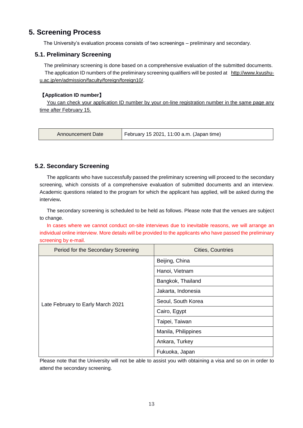## **5. Screening Process**

The University's evaluation process consists of two screenings – preliminary and secondary.

## **5.1. Preliminary Screening**

 The preliminary screening is done based on a comprehensive evaluation of the submitted documents. The application ID numbers of the preliminary screening qualifiers will be posted at [http://www.kyushu](http://www.kyushu-u.ac.jp/en/admission/faculty/foreign/foreign10/)[u.ac.jp/en/admission/faculty/foreign/foreign10/.](http://www.kyushu-u.ac.jp/en/admission/faculty/foreign/foreign10/)

## 【**Application ID number**】

You can check your application ID number by your on-line registration number in the same page any time after February 15.

| Announcement Date | February 15 2021, 11:00 a.m. (Japan time) |
|-------------------|-------------------------------------------|
|                   |                                           |

## **5.2. Secondary Screening**

The applicants who have successfully passed the preliminary screening will proceed to the secondary screening, which consists of a comprehensive evaluation of submitted documents and an interview. Academic questions related to the program for which the applicant has applied, will be asked during the interview**.**

The secondary screening is scheduled to be held as follows. Please note that the venues are subject to change.

In cases where we cannot conduct on-site interviews due to inevitable reasons, we will arrange an individual online interview. More details will be provided to the applicants who have passed the preliminary screening by e-mail.

| Period for the Secondary Screening | <b>Cities, Countries</b> |
|------------------------------------|--------------------------|
|                                    | Beijing, China           |
|                                    | Hanoi, Vietnam           |
|                                    | Bangkok, Thailand        |
|                                    | Jakarta, Indonesia       |
| Late February to Early March 2021  | Seoul, South Korea       |
|                                    | Cairo, Egypt             |
|                                    | Taipei, Taiwan           |
|                                    | Manila, Philippines      |
|                                    | Ankara, Turkey           |
|                                    | Fukuoka, Japan           |

Please note that the University will not be able to assist you with obtaining a visa and so on in order to attend the secondary screening.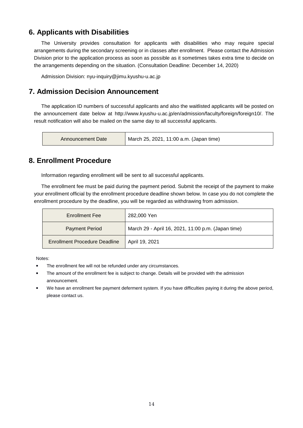## **6. Applicants with Disabilities**

The University provides consultation for applicants with disabilities who may require special arrangements during the secondary screening or in classes after enrollment. Please contact the Admission Division prior to the application process as soon as possible as it sometimes takes extra time to decide on the arrangements depending on the situation. (Consultation Deadline: December 14, 2020)

Admission Division: nyu-inquiry@jimu.kyushu-u.ac.jp

## **7. Admission Decision Announcement**

The application ID numbers of successful applicants and also the waitlisted applicants will be posted on the announcement date below at [http://www.kyushu-u.ac.jp/en/admission/faculty/foreign/foreign10/.](http://www.kyushu-u.ac.jp/en/admission/faculty/foreign/foreign10/) The result notification will also be mailed on the same day to all successful applicants.

| Announcement Date | March 25, 2021, 11:00 a.m. (Japan time) |
|-------------------|-----------------------------------------|
|-------------------|-----------------------------------------|

## **8. Enrollment Procedure**

Information regarding enrollment will be sent to all successful applicants.

The enrollment fee must be paid during the payment period. Submit the receipt of the payment to make your enrollment official by the enrollment procedure deadline shown below. In case you do not complete the enrollment procedure by the deadline, you will be regarded as withdrawing from admission.

| <b>Enrollment Fee</b>                | 282,000 Yen                                        |
|--------------------------------------|----------------------------------------------------|
| <b>Payment Period</b>                | March 29 - April 16, 2021, 11:00 p.m. (Japan time) |
| <b>Enrollment Procedure Deadline</b> | April 19, 2021                                     |

Notes:

- The enrollment fee will not be refunded under any circumstances.
- **The amount of the enrollment fee is subject to change. Details will be provided with the admission** announcement.
- We have an enrollment fee payment deferment system. If you have difficulties paying it during the above period, please contact us.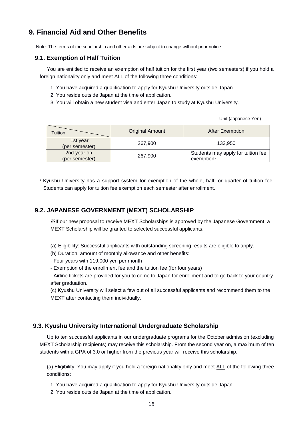# **9. Financial Aid and Other Benefits**

Note: The terms of the scholarship and other aids are subject to change without prior notice.

## **9.1. Exemption of Half Tuition**

You are entitled to receive an exemption of half tuition for the first year (two semesters) if you hold a foreign nationality only and meet ALL of the following three conditions:

- 1. You have acquired a qualification to apply for Kyushu University outside Japan.
- 2. You reside outside Japan at the time of application.
- 3. You will obtain a new student visa and enter Japan to study at Kyushu University.

Unit (Japanese Yen)

| Tuition                       | <b>Original Amount</b> | <b>After Exemption</b>                            |
|-------------------------------|------------------------|---------------------------------------------------|
| 1st year<br>(per semester)    | 267,900                | 133,950                                           |
| 2nd year on<br>(per semester) | 267,900                | Students may apply for tuition fee<br>exemption*. |

\* Kyushu University has a support system for exemption of the whole, half, or quarter of tuition fee. Students can apply for tuition fee exemption each semester after enrollment.

## **9.2. JAPANESE GOVERNMENT (MEXT) SCHOLARSHIP**

※If our new proposal to receive MEXT Scholarships is approved by the Japanese Government, a MEXT Scholarship will be granted to selected successful applicants.

- (a) Eligibility: Successful applicants with outstanding screening results are eligible to apply.
- (b) Duration, amount of monthly allowance and other benefits:
- Four years with 119,000 yen per month
- Exemption of the enrollment fee and the tuition fee (for four years)
- Airline tickets are provided for you to come to Japan for enrollment and to go back to your country after graduation.

(c) Kyushu University will select a few out of all successful applicants and recommend them to the MEXT after contacting them individually.

## **9.3. Kyushu University International Undergraduate Scholarship**

Up to ten successful applicants in our undergraduate programs for the October admission (excluding MEXT Scholarship recipients) may receive this scholarship. From the second year on, a maximum of ten students with a GPA of 3.0 or higher from the previous year will receive this scholarship.

(a) Eligibility: You may apply if you hold a foreign nationality only and meet ALL of the following three conditions:

- 1. You have acquired a qualification to apply for Kyushu University outside Japan.
- 2. You reside outside Japan at the time of application.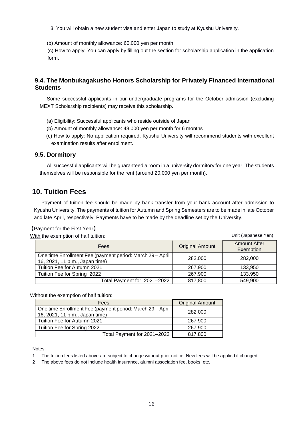3. You will obtain a new student visa and enter Japan to study at Kyushu University.

(b) Amount of monthly allowance: 60,000 yen per month

(c) How to apply: You can apply by filling out the section for scholarship application in the application form.

## **9.4. The Monbukagakusho Honors Scholarship for Privately Financed International Students**

Some successful applicants in our undergraduate programs for the October admission (excluding MEXT Scholarship recipients) may receive this scholarship.

- (a) Eligibility: Successful applicants who reside outside of Japan
- (b) Amount of monthly allowance: 48,000 yen per month for 6 months
- (c) How to apply: No application required. Kyushu University will recommend students with excellent examination results after enrollment.

#### **9.5. Dormitory**

All successful applicants will be guaranteed a room in a university dormitory for one year. The students themselves will be responsible for the rent (around 20,000 yen per month).

## **10. Tuition Fees**

Payment of tuition fee should be made by bank transfer from your bank account after admission to Kyushu University. The payments of tuition for Autumn and Spring Semesters are to be made in late October and late April, respectively. Payments have to be made by the deadline set by the University.

Unit (Japanese Yen)

#### 【Payment for the First Year】

With the exemption of half tuition:

| <b>Fees</b>                                                                                 | <b>Original Amount</b> | <b>Amount After</b><br>Exemption |
|---------------------------------------------------------------------------------------------|------------------------|----------------------------------|
| One time Enrollment Fee (payment period: March 29 - April<br>16, 2021, 11 p.m., Japan time) | 282,000                | 282,000                          |
| Tuition Fee for Autumn 2021                                                                 | 267,900                | 133.950                          |
| Tuition Fee for Spring 2022                                                                 | 267.900                | 133,950                          |
| Total Payment for 2021-2022                                                                 | 817,800                | 549,900                          |

Without the exemption of half tuition:

| Fees                                                                                        | <b>Original Amount</b> |
|---------------------------------------------------------------------------------------------|------------------------|
| One time Enrollment Fee (payment period: March 29 - April<br>16, 2021, 11 p.m., Japan time) | 282,000                |
| Tuition Fee for Autumn 2021                                                                 | 267,900                |
| Tuition Fee for Spring 2022                                                                 | 267,900                |
| Total Payment for 2021-2022                                                                 | 817,800                |

Notes:

1 The tuition fees listed above are subject to change without prior notice. New fees will be applied if changed.

2 The above fees do not include health insurance, alumni association fee, books, etc.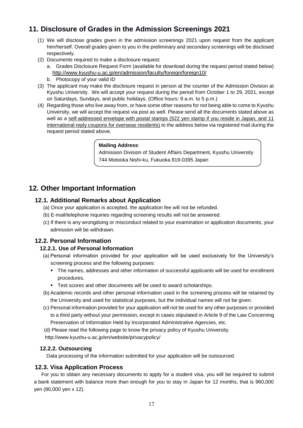# **11. Disclosure of Grades in the Admission Screenings 2021**

- (1) We will disclose grades given in the admission screenings 2021 upon request from the applicant him/herself. Overall grades given to you in the preliminary and secondary screenings will be disclosed respectively.
- (2) Documents required to make a disclosure request:
	- a. Grades Disclosure Request Form (available for download during the request period stated below) <http://www.kyushu-u.ac.jp/en/admission/faculty/foreign/foreign10/>
	- b. Photocopy of your valid ID
- (3) The applicant may make the disclosure request in person at the counter of the Admission Division at Kyushu University. We will accept your request during the period from October 1 to 29, 2021, except on Saturdays, Sundays, and public holidays. (Office hours: 9 a.m. to 5 p.m.)
- (4) Regarding those who live away from, or have some other reasons for not being able to come to Kyushu University, we will accept the request via post as well. Please send all the documents stated above as well as a self-addressed envelope with postal stamps (522 yen stamp if you reside in Japan, and 11 international reply coupons for overseas residents) to the address below via registered mail during the request period stated above.

## **Mailing Address**:

Admission Division of Student Affairs Department, Kyushu University 744 Motooka Nishi-ku, Fukuoka 819-0395 Japan

# **12. Other Important Information**

## **12.1. Additional Remarks about Application**

- (a) Once your application is accepted, the application fee will not be refunded.
- (b) E-mail/telephone inquiries regarding screening results will not be answered.
- (c) If there is any wrongdoing or misconduct related to your examination or application documents, your admission will be withdrawn.

## **12.2. Personal Information**

## **12.2.1. Use of Personal Information**

- (a) Personal information provided for your application will be used exclusively for the University's screening process and the following purposes:
	- The names, addresses and other information of successful applicants will be used for enrollment procedures.
	- **Test scores and other documents will be used to award scholarships.**
- (b) Academic records and other personal information used in the screening process will be retained by the University and used for statistical purposes, but the individual names will not be given.
- (c) Personal information provided for your application will not be used for any other purposes or provided to a third party without your permission, except in cases stipulated in Article 9 of the Law Concerning Preservation of Information Held by Incorporated Administrative Agencies, etc.
- (d) Please read the following page to know the privacy policy of Kyushu University.
- [http://www.kyushu-u.ac.jp/en/website/privacypolicy/](http://www.kyushu-u.ac.jp/en/website/privacypolicy)

## **12.2.2. Outsourcing**

Data processing of the information submitted for your application will be outsourced.

## **12.3. Visa Application Process**

For you to obtain any necessary documents to apply for a student visa, you will be required to submit a bank statement with balance more than enough for you to stay in Japan for 12 months, that is 960,000 yen (80,000 yen x 12).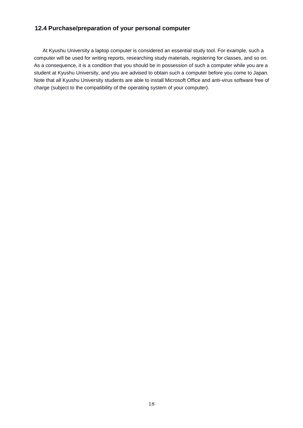## **12.4 Purchase/preparation of your personal computer**

At Kyushu University a laptop computer is considered an essential study tool. For example, such a computer will be used for writing reports, researching study materials, registering for classes, and so on. As a consequence, it is a condition that you should be in possession of such a computer while you are a student at Kyushu University, and you are advised to obtain such a computer before you come to Japan. Note that all Kyushu University students are able to install Microsoft Office and anti-virus software free of charge (subject to the compatibility of the operating system of your computer).